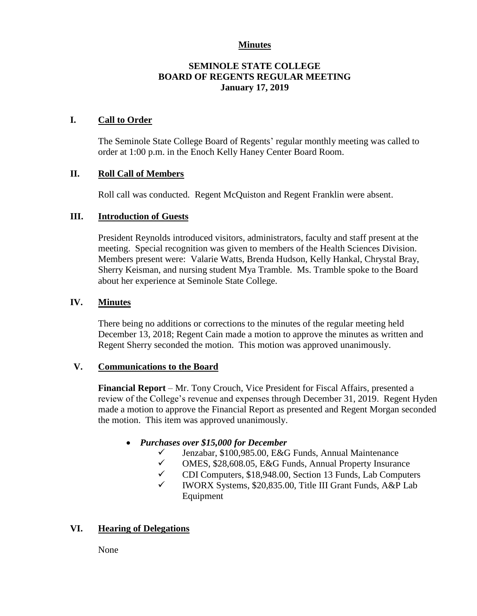#### **Minutes**

#### **SEMINOLE STATE COLLEGE BOARD OF REGENTS REGULAR MEETING January 17, 2019**

#### **I. Call to Order**

The Seminole State College Board of Regents' regular monthly meeting was called to order at 1:00 p.m. in the Enoch Kelly Haney Center Board Room.

#### **II. Roll Call of Members**

Roll call was conducted. Regent McQuiston and Regent Franklin were absent.

## **III. Introduction of Guests**

President Reynolds introduced visitors, administrators, faculty and staff present at the meeting. Special recognition was given to members of the Health Sciences Division. Members present were: Valarie Watts, Brenda Hudson, Kelly Hankal, Chrystal Bray, Sherry Keisman, and nursing student Mya Tramble. Ms. Tramble spoke to the Board about her experience at Seminole State College.

#### **IV. Minutes**

There being no additions or corrections to the minutes of the regular meeting held December 13, 2018; Regent Cain made a motion to approve the minutes as written and Regent Sherry seconded the motion. This motion was approved unanimously.

#### **V. Communications to the Board**

**Financial Report** – Mr. Tony Crouch, Vice President for Fiscal Affairs, presented a review of the College's revenue and expenses through December 31, 2019. Regent Hyden made a motion to approve the Financial Report as presented and Regent Morgan seconded the motion. This item was approved unanimously.

## *Purchases over \$15,000 for December*

- $\checkmark$  Jenzabar, \$100,985.00, E&G Funds, Annual Maintenance<br> $\checkmark$  OMES \$28.608.05, E&G Funds, Annual Property Insurance
- OMES, \$28,608.05, E&G Funds, Annual Property Insurance
- $\checkmark$  CDI Computers, \$18,948.00, Section 13 Funds, Lab Computers
- $\checkmark$  IWORX Systems, \$20,835.00, Title III Grant Funds, A&P Lab Equipment

## **VI. Hearing of Delegations**

None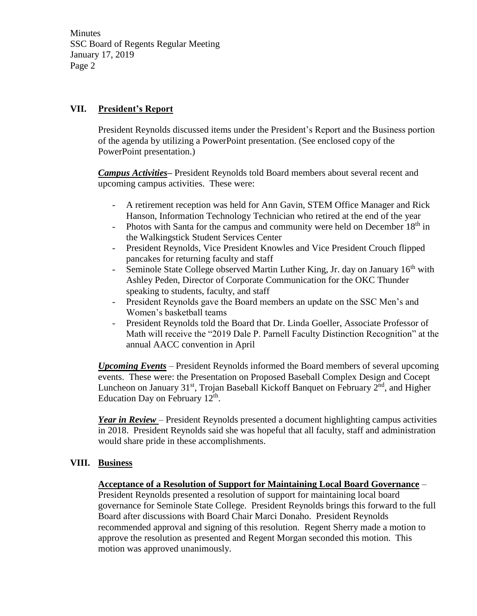**Minutes** SSC Board of Regents Regular Meeting January 17, 2019 Page 2

## **VII. President's Report**

President Reynolds discussed items under the President's Report and the Business portion of the agenda by utilizing a PowerPoint presentation. (See enclosed copy of the PowerPoint presentation.)

*Campus Activities***–** President Reynolds told Board members about several recent and upcoming campus activities. These were:

- A retirement reception was held for Ann Gavin, STEM Office Manager and Rick Hanson, Information Technology Technician who retired at the end of the year
- Photos with Santa for the campus and community were held on December  $18<sup>th</sup>$  in the Walkingstick Student Services Center
- President Reynolds, Vice President Knowles and Vice President Crouch flipped pancakes for returning faculty and staff
- Seminole State College observed Martin Luther King, Jr. day on January 16<sup>th</sup> with Ashley Peden, Director of Corporate Communication for the OKC Thunder speaking to students, faculty, and staff
- President Reynolds gave the Board members an update on the SSC Men's and Women's basketball teams
- President Reynolds told the Board that Dr. Linda Goeller, Associate Professor of Math will receive the "2019 Dale P. Parnell Faculty Distinction Recognition" at the annual AACC convention in April

*Upcoming Events* – President Reynolds informed the Board members of several upcoming events. These were: the Presentation on Proposed Baseball Complex Design and Cocept Luncheon on January 31<sup>st</sup>, Trojan Baseball Kickoff Banquet on February 2<sup>nd</sup>, and Higher Education Day on February  $12<sup>th</sup>$ .

*Year in Review* – President Reynolds presented a document highlighting campus activities in 2018. President Reynolds said she was hopeful that all faculty, staff and administration would share pride in these accomplishments.

## **VIII. Business**

## **Acceptance of a Resolution of Support for Maintaining Local Board Governance** –

President Reynolds presented a resolution of support for maintaining local board governance for Seminole State College. President Reynolds brings this forward to the full Board after discussions with Board Chair Marci Donaho. President Reynolds recommended approval and signing of this resolution. Regent Sherry made a motion to approve the resolution as presented and Regent Morgan seconded this motion. This motion was approved unanimously.